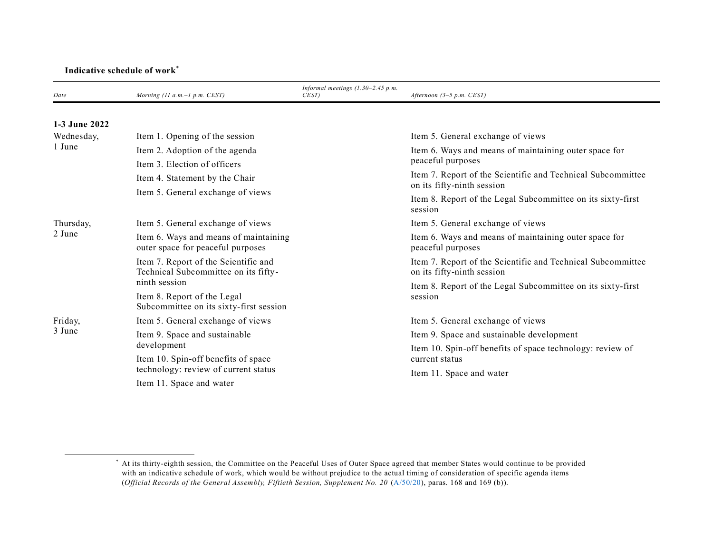## **Indicative schedule of work**\*

| Date                 | Morning (11 $a.m.-1 p.m. CEST$ )                                             | Informal meetings $(1.30-2.45 p.m.$<br>CEST) | Afternoon $(3-5 p.m. CEST)$                                                               |
|----------------------|------------------------------------------------------------------------------|----------------------------------------------|-------------------------------------------------------------------------------------------|
| 1-3 June 2022        |                                                                              |                                              |                                                                                           |
| Wednesday,<br>1 June | Item 1. Opening of the session                                               |                                              | Item 5. General exchange of views                                                         |
|                      | Item 2. Adoption of the agenda                                               |                                              | Item 6. Ways and means of maintaining outer space for<br>peaceful purposes                |
|                      | Item 3. Election of officers                                                 |                                              |                                                                                           |
|                      | Item 4. Statement by the Chair                                               |                                              | Item 7. Report of the Scientific and Technical Subcommittee<br>on its fifty-ninth session |
|                      | Item 5. General exchange of views                                            |                                              | Item 8. Report of the Legal Subcommittee on its sixty-first<br>session                    |
| Thursday,<br>2 June  | Item 5. General exchange of views                                            |                                              | Item 5. General exchange of views                                                         |
|                      | Item 6. Ways and means of maintaining<br>outer space for peaceful purposes   |                                              | Item 6. Ways and means of maintaining outer space for<br>peaceful purposes                |
|                      | Item 7. Report of the Scientific and<br>Technical Subcommittee on its fifty- |                                              | Item 7. Report of the Scientific and Technical Subcommittee<br>on its fifty-ninth session |
|                      | ninth session                                                                |                                              | Item 8. Report of the Legal Subcommittee on its sixty-first                               |
|                      | Item 8. Report of the Legal<br>Subcommittee on its sixty-first session       |                                              | session                                                                                   |
| Friday,<br>3 June    | Item 5. General exchange of views                                            |                                              | Item 5. General exchange of views                                                         |
|                      | Item 9. Space and sustainable<br>development                                 |                                              | Item 9. Space and sustainable development                                                 |
|                      |                                                                              |                                              | Item 10. Spin-off benefits of space technology: review of<br>current status               |
|                      | Item 10. Spin-off benefits of space                                          |                                              |                                                                                           |
|                      | technology: review of current status                                         |                                              | Item 11. Space and water                                                                  |
|                      | Item 11. Space and water                                                     |                                              |                                                                                           |

<sup>\*</sup> At its thirty-eighth session, the Committee on the Peaceful Uses of Outer Space agreed that member States would continue to be provided with an indicative schedule of work, which would be without prejudice to the actual timing of consideration of specific agenda items (*Official Records of the General Assembly, Fiftieth Session, Supplement No. 20* [\(A/50/20\)](http://undocs.org/A/res/50/20), paras. 168 and 169 (b)).